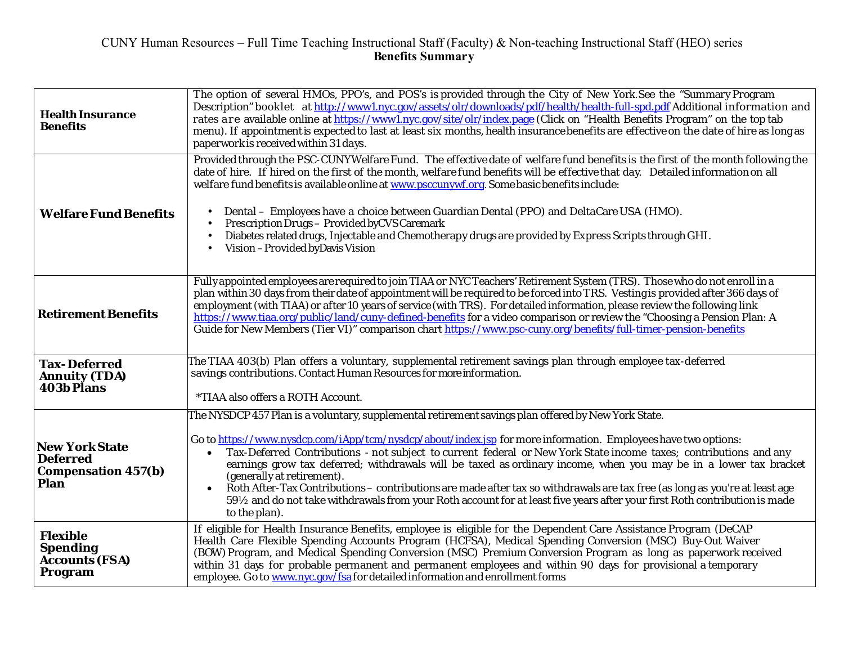| <b>Health Insurance</b><br><b>Benefits</b>                                     | The option of several HMOs, PPO's, and POS's is provided through the City of New York.See the "Summary Program<br>Description" booklet at http://www1.nyc.gov/assets/olr/downloads/pdf/health/health-full-spd.pdf Additional information and<br>rates are available online at https://www1.nyc.gov/site/olr/index.page (Click on "Health Benefits Program" on the top tab<br>menu). If appointment is expected to last at least six months, health insurance benefits are effective on the date of hire as long as<br>paperwork is received within 31 days.                                                                                                                                                                                                               |
|--------------------------------------------------------------------------------|---------------------------------------------------------------------------------------------------------------------------------------------------------------------------------------------------------------------------------------------------------------------------------------------------------------------------------------------------------------------------------------------------------------------------------------------------------------------------------------------------------------------------------------------------------------------------------------------------------------------------------------------------------------------------------------------------------------------------------------------------------------------------|
| <b>Welfare Fund Benefits</b>                                                   | Provided through the PSC-CUNYWelfare Fund. The effective date of welfare fund benefits is the first of the month following the<br>date of hire. If hired on the first of the month, welfare fund benefits will be effective that day. Detailed information on all<br>welfare fund benefits is available online at www.psccunywf.org. Some basic benefits include:<br>Dental - Employees have a choice between Guardian Dental (PPO) and DeltaCare USA (HMO).<br>Prescription Drugs - Provided by CVS Caremark<br>Diabetes related drugs, Injectable and Chemotherapy drugs are provided by Express Scripts through GHI.<br>Vision - Provided by Davis Vision                                                                                                              |
| <b>Retirement Benefits</b>                                                     | Fully appointed employees are required to join TIAA or NYC Teachers' Retirement System (TRS). Those who do not enroll in a<br>plan within 30 days from their date of appointment will be required to be forced into TRS. Vesting is provided after 366 days of<br>employment (with TIAA) or after 10 years of service (with TRS). For detailed information, please review the following link<br>https://www.tiaa.org/public/land/cuny-defined-benefits for a video comparison or review the "Choosing a Pension Plan: A<br>Guide for New Members (Tier VI)" comparison chart https://www.psc-cuny.org/benefits/full-timer-pension-benefits                                                                                                                                |
| <b>Tax-Deferred</b><br><b>Annuity (TDA)</b><br><b>403b Plans</b>               | The TIAA 403(b) Plan offers a voluntary, supplemental retirement savings plan through employee tax-deferred<br>savings contributions. Contact Human Resources for more information.<br>*TIAA also offers a ROTH Account.                                                                                                                                                                                                                                                                                                                                                                                                                                                                                                                                                  |
| <b>New York State</b><br><b>Deferred</b><br><b>Compensation 457(b)</b><br>Plan | The NYSDCP 457 Plan is a voluntary, supplemental retirement savings plan offered by New York State.<br>Go to https://www.nysdcp.com/iApp/tcm/nysdcp/about/index.jsp for more information. Employees have two options:<br>Tax-Deferred Contributions - not subject to current federal or New York State income taxes; contributions and any<br>earnings grow tax deferred; withdrawals will be taxed as ordinary income, when you may be in a lower tax bracket<br>(generally at retirement).<br>Roth After-Tax Contributions – contributions are made after tax so withdrawals are tax free (as long as you're at least age<br>59½ and do not take withdrawals from your Roth account for at least five years after your first Roth contribution is made<br>to the plan). |
| <b>Flexible</b><br><b>Spending</b><br><b>Accounts (FSA)</b><br>Program         | If eligible for Health Insurance Benefits, employee is eligible for the Dependent Care Assistance Program (DeCAP<br>Health Care Flexible Spending Accounts Program (HCFSA), Medical Spending Conversion (MSC) Buy-Out Waiver<br>(BOW) Program, and Medical Spending Conversion (MSC) Premium Conversion Program as long as paperwork received<br>within 31 days for probable permanent and permanent employees and within 90 days for provisional a temporary<br>employee. Go to www.nyc.gov/fsa for detailed information and enrollment forms                                                                                                                                                                                                                            |